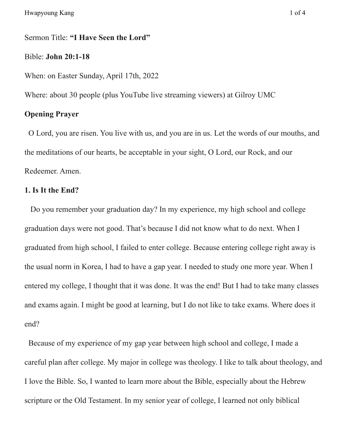# Sermon Title: **"I Have Seen the Lord"**

### Bible: **John 20:1-18**

When: on Easter Sunday, April 17th, 2022

Where: about 30 people (plus YouTube live streaming viewers) at Gilroy UMC

# **Opening Prayer**

O Lord, you are risen. You live with us, and you are in us. Let the words of our mouths, and the meditations of our hearts, be acceptable in your sight, O Lord, our Rock, and our Redeemer. Amen.

### **1. Is It the End?**

Do you remember your graduation day? In my experience, my high school and college graduation days were not good. That's because I did not know what to do next. When I graduated from high school, I failed to enter college. Because entering college right away is the usual norm in Korea, I had to have a gap year. I needed to study one more year. When I entered my college, I thought that it was done. It was the end! But I had to take many classes and exams again. I might be good at learning, but I do not like to take exams. Where does it end?

Because of my experience of my gap year between high school and college, I made a careful plan after college. My major in college was theology. I like to talk about theology, and I love the Bible. So, I wanted to learn more about the Bible, especially about the Hebrew scripture or the Old Testament. In my senior year of college, I learned not only biblical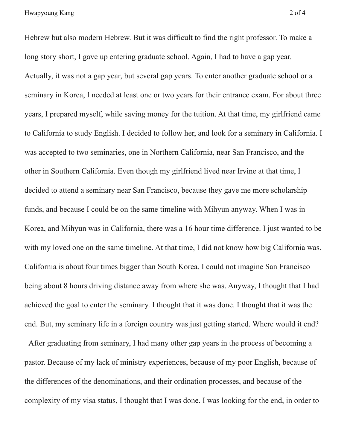Hebrew but also modern Hebrew. But it was difficult to find the right professor. To make a long story short, I gave up entering graduate school. Again, I had to have a gap year. Actually, it was not a gap year, but several gap years. To enter another graduate school or a seminary in Korea, I needed at least one or two years for their entrance exam. For about three years, I prepared myself, while saving money for the tuition. At that time, my girlfriend came to California to study English. I decided to follow her, and look for a seminary in California. I was accepted to two seminaries, one in Northern California, near San Francisco, and the other in Southern California. Even though my girlfriend lived near Irvine at that time, I decided to attend a seminary near San Francisco, because they gave me more scholarship funds, and because I could be on the same timeline with Mihyun anyway. When I was in Korea, and Mihyun was in California, there was a 16 hour time difference. I just wanted to be with my loved one on the same timeline. At that time, I did not know how big California was. California is about four times bigger than South Korea. I could not imagine San Francisco being about 8 hours driving distance away from where she was. Anyway, I thought that I had achieved the goal to enter the seminary. I thought that it was done. I thought that it was the end. But, my seminary life in a foreign country was just getting started. Where would it end?

After graduating from seminary, I had many other gap years in the process of becoming a pastor. Because of my lack of ministry experiences, because of my poor English, because of the differences of the denominations, and their ordination processes, and because of the complexity of my visa status, I thought that I was done. I was looking for the end, in order to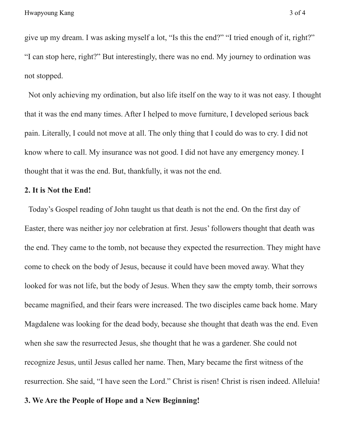give up my dream. I was asking myself a lot, "Is this the end?" "I tried enough of it, right?" "I can stop here, right?" But interestingly, there was no end. My journey to ordination was not stopped.

Not only achieving my ordination, but also life itself on the way to it was not easy. I thought that it was the end many times. After I helped to move furniture, I developed serious back pain. Literally, I could not move at all. The only thing that I could do was to cry. I did not know where to call. My insurance was not good. I did not have any emergency money. I thought that it was the end. But, thankfully, it was not the end.

## **2. It is Not the End!**

Today's Gospel reading of John taught us that death is not the end. On the first day of Easter, there was neither joy nor celebration at first. Jesus' followers thought that death was the end. They came to the tomb, not because they expected the resurrection. They might have come to check on the body of Jesus, because it could have been moved away. What they looked for was not life, but the body of Jesus. When they saw the empty tomb, their sorrows became magnified, and their fears were increased. The two disciples came back home. Mary Magdalene was looking for the dead body, because she thought that death was the end. Even when she saw the resurrected Jesus, she thought that he was a gardener. She could not recognize Jesus, until Jesus called her name. Then, Mary became the first witness of the resurrection. She said, "I have seen the Lord." Christ is risen! Christ is risen indeed. Alleluia!

#### **3. We Are the People of Hope and a New Beginning!**